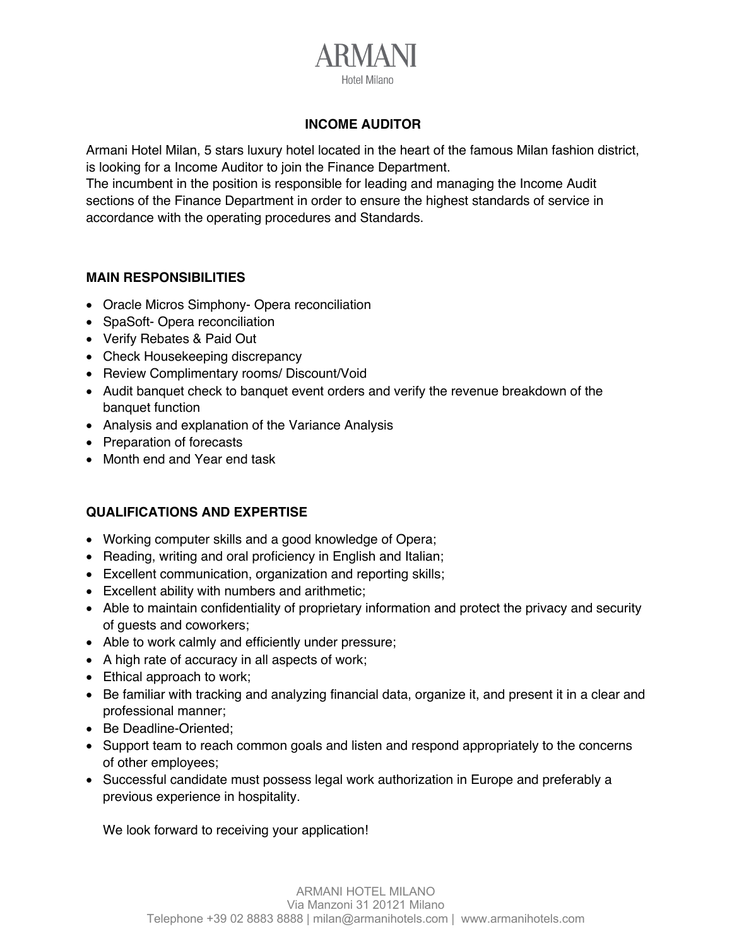

## **INCOME AUDITOR**

Armani Hotel Milan, 5 stars luxury hotel located in the heart of the famous Milan fashion district, is looking for a Income Auditor to join the Finance Department.

The incumbent in the position is responsible for leading and managing the Income Audit sections of the Finance Department in order to ensure the highest standards of service in accordance with the operating procedures and Standards.

## **MAIN RESPONSIBILITIES**

- Oracle Micros Simphony- Opera reconciliation
- SpaSoft- Opera reconciliation
- Verify Rebates & Paid Out
- Check Housekeeping discrepancy
- Review Complimentary rooms/ Discount/Void
- Audit banquet check to banquet event orders and verify the revenue breakdown of the banquet function
- Analysis and explanation of the Variance Analysis
- Preparation of forecasts
- Month end and Year end task

## **QUALIFICATIONS AND EXPERTISE**

- Working computer skills and a good knowledge of Opera;
- Reading, writing and oral proficiency in English and Italian;
- Excellent communication, organization and reporting skills;
- Excellent ability with numbers and arithmetic;
- Able to maintain confidentiality of proprietary information and protect the privacy and security of guests and coworkers;
- Able to work calmly and efficiently under pressure;
- A high rate of accuracy in all aspects of work;
- Ethical approach to work;
- Be familiar with tracking and analyzing financial data, organize it, and present it in a clear and professional manner;
- Be Deadline-Oriented;
- Support team to reach common goals and listen and respond appropriately to the concerns of other employees;
- Successful candidate must possess legal work authorization in Europe and preferably a previous experience in hospitality.

We look forward to receiving your application!